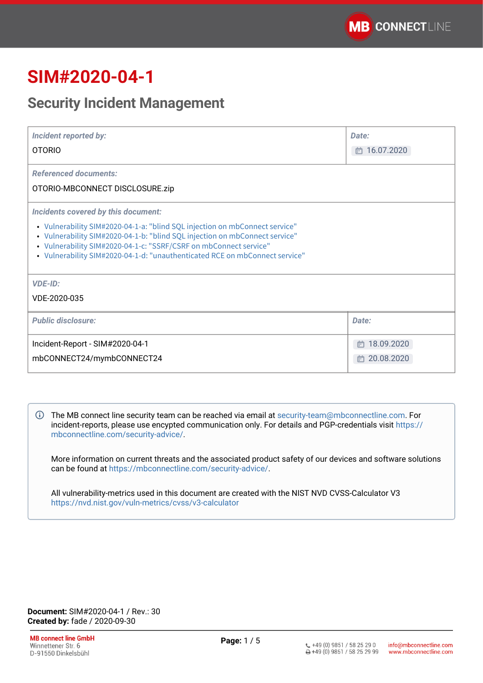# **SIM#2020-04-1**

## **Security Incident Management**

| <b>Incident reported by:</b><br><b>OTORIO</b>                                                                                                                                                                                                                                                                                                         | Date:<br>□ 16.07.2020                |
|-------------------------------------------------------------------------------------------------------------------------------------------------------------------------------------------------------------------------------------------------------------------------------------------------------------------------------------------------------|--------------------------------------|
| <b>Referenced documents:</b><br>OTORIO-MBCONNECT DISCLOSURE.zip                                                                                                                                                                                                                                                                                       |                                      |
| Incidents covered by this document:<br>• Vulnerability SIM#2020-04-1-a: "blind SQL injection on mbConnect service"<br>• Vulnerability SIM#2020-04-1-b: "blind SQL injection on mbConnect service"<br>• Vulnerability SIM#2020-04-1-c: "SSRF/CSRF on mbConnect service"<br>• Vulnerability SIM#2020-04-1-d: "unauthenticated RCE on mbConnect service" |                                      |
| <b>VDE-ID:</b><br>VDE-2020-035                                                                                                                                                                                                                                                                                                                        |                                      |
| <b>Public disclosure:</b>                                                                                                                                                                                                                                                                                                                             | Date:                                |
| Incident-Report - SIM#2020-04-1<br>mbCONNECT24/mymbCONNECT24                                                                                                                                                                                                                                                                                          | 18.09.2020<br>m.<br>20.08.2020<br>m. |

The MB connect line security team can be reached via email at [security-team@mbconnectline.com](mailto:security-team@mbconnectline.com). For incident-reports, please use encypted communication only. For details and PGP-credentials visit [https://](https://mbconnectline.com/security-advice/) [mbconnectline.com/security-advice/.](https://mbconnectline.com/security-advice/)

More information on current threats and the associated product safety of our devices and software solutions can be found at [https://mbconnectline.com/security-advice/.](https://mbconnectline.com/security-advice/)

All vulnerability-metrics used in this document are created with the NIST NVD CVSS-Calculator V3 <https://nvd.nist.gov/vuln-metrics/cvss/v3-calculator>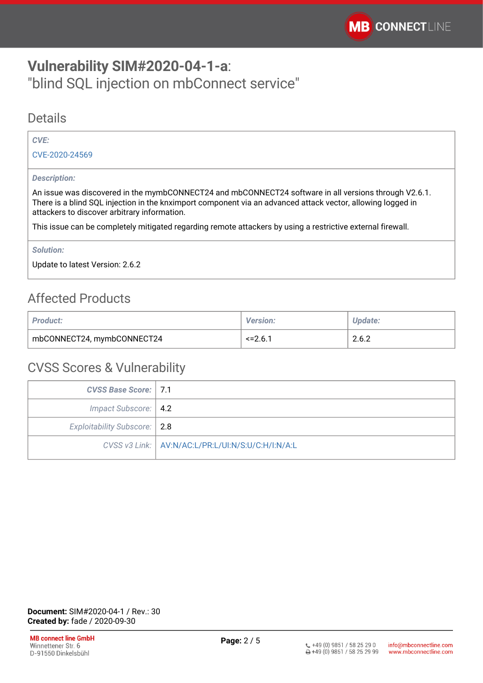## <span id="page-1-0"></span>**Vulnerability SIM#2020-04-1-a**: "blind SQL injection on mbConnect service"

### **Details**

#### *CVE:*

[CVE-2020-24569](https://cve.mitre.org/cgi-bin/cvename.cgi?name=CVE-2020-24569)

#### *Description:*

An issue was discovered in the mymbCONNECT24 and mbCONNECT24 software in all versions through V2.6.1. There is a blind SQL injection in the knximport component via an advanced attack vector, allowing logged in attackers to discover arbitrary information.

This issue can be completely mitigated regarding remote attackers by using a restrictive external firewall.

*Solution:* 

Update to latest Version: 2.6.2

## Affected Products

| <b>Product:</b>            | <b>Version:</b> | Update: |
|----------------------------|-----------------|---------|
| mbCONNECT24, mymbCONNECT24 | $\le$ = 2.6.1   | 2.6.2   |

| <b>CVSS Base Score: 7.1</b>    |                                                     |
|--------------------------------|-----------------------------------------------------|
| Impact Subscore:   4.2         |                                                     |
| Exploitability Subscore:   2.8 |                                                     |
|                                | CVSS v3 Link:   AV:N/AC:L/PR:L/UI:N/S:U/C:H/I:N/A:L |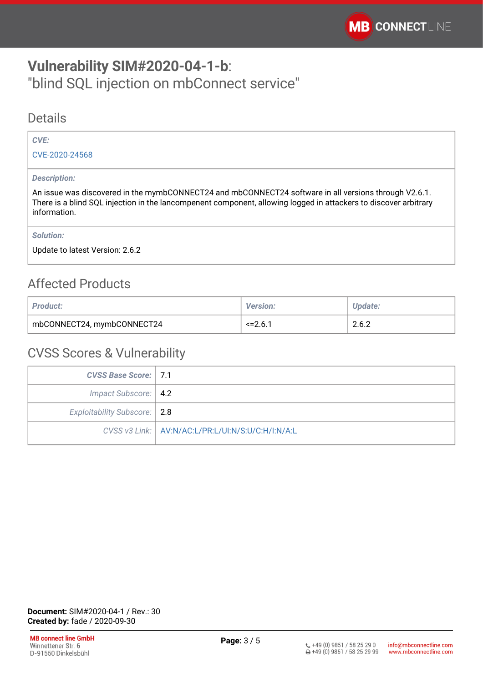## <span id="page-2-0"></span>**Vulnerability SIM#2020-04-1-b**: "blind SQL injection on mbConnect service"

### Details

### *CVE:*

[CVE-2020-24568](https://cve.mitre.org/cgi-bin/cvename.cgi?name=CVE-2020-24568)

#### *Description:*

An issue was discovered in the mymbCONNECT24 and mbCONNECT24 software in all versions through V2.6.1. There is a blind SQL injection in the lancompenent component, allowing logged in attackers to discover arbitrary information.

*Solution:* 

Update to latest Version: 2.6.2

## Affected Products

| <b>Product:</b>            | <b>Version:</b> | Update: |
|----------------------------|-----------------|---------|
| mbCONNECT24, mymbCONNECT24 | $\le$ = 2.6.1   | 2.6.2   |

| CVSS Base Score:   7.1         |                                                     |
|--------------------------------|-----------------------------------------------------|
| Impact Subscore:   4.2         |                                                     |
| Exploitability Subscore:   2.8 |                                                     |
|                                | CVSS v3 Link:   AV:N/AC:L/PR:L/UI:N/S:U/C:H/I:N/A:L |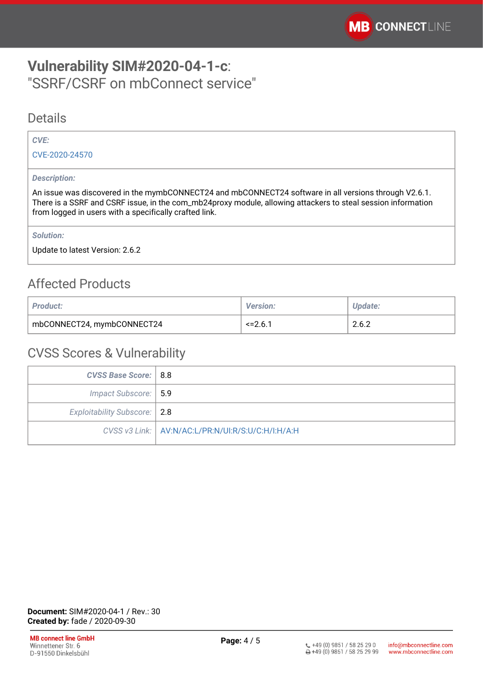## <span id="page-3-0"></span>**Vulnerability SIM#2020-04-1-c**: "SSRF/CSRF on mbConnect service"

### **Details**

### *CVE:*

[CVE-2020-24570](https://cve.mitre.org/cgi-bin/cvename.cgi?name=CVE-2020-24570)

#### *Description:*

An issue was discovered in the mymbCONNECT24 and mbCONNECT24 software in all versions through V2.6.1. There is a SSRF and CSRF issue, in the com\_mb24proxy module, allowing attackers to steal session information from logged in users with a specifically crafted link.

*Solution:* 

Update to latest Version: 2.6.2

## Affected Products

| <b>Product:</b>            | <b>Version:</b>           | Update: |
|----------------------------|---------------------------|---------|
| mbCONNECT24, mymbCONNECT24 | $\le$ = 2.6. <sup>7</sup> | 2.6.2   |

| <b>CVSS Base Score:   8.8</b> |                                                     |
|-------------------------------|-----------------------------------------------------|
| Impact Subscore:   5.9        |                                                     |
| Exploitability Subscore: 2.8  |                                                     |
|                               | CVSS v3 Link:   AV:N/AC:L/PR:N/UI:R/S:U/C:H/I:H/A:H |